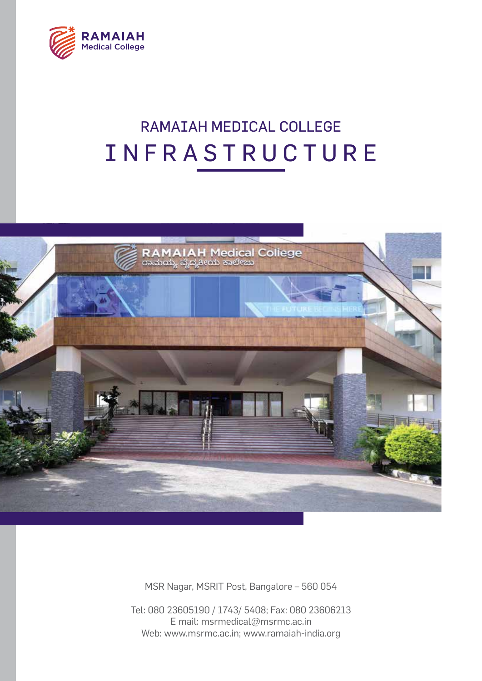

## INFRASTRUCTURE RAMAIAH MEDICAL COLLEGE



MSR Nagar, MSRIT Post, Bangalore – 560 054

Tel: 080 23605190 / 1743/ 5408; Fax: 080 23606213 E mail: msrmedical@msrmc.ac.in Web: www.msrmc.ac.in; www.ramaiah-india.org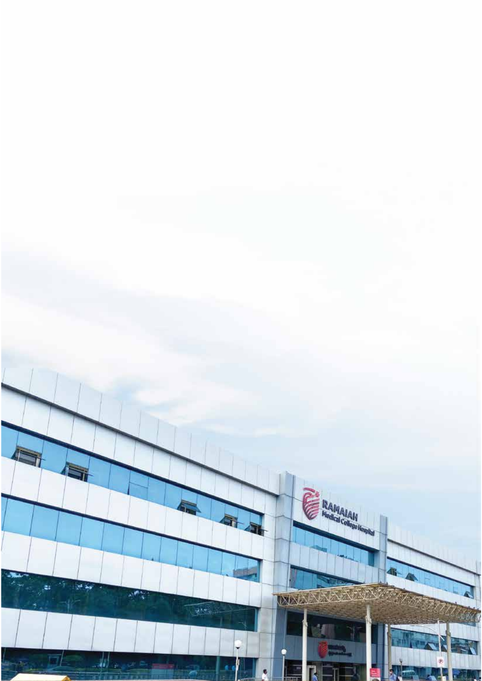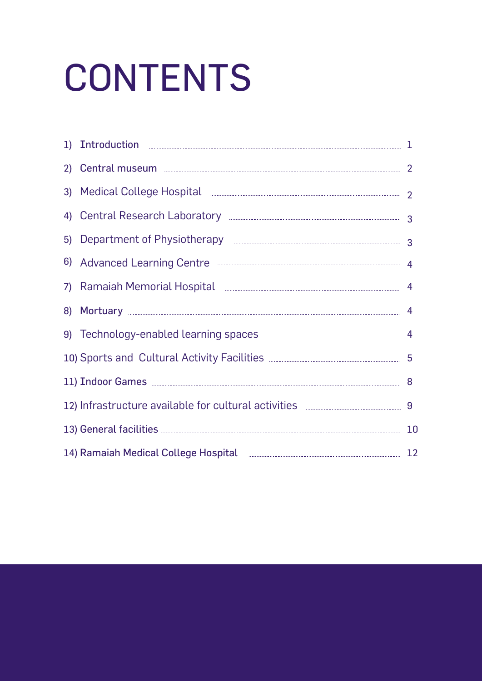# CONTENTS

|                                                             |                                                                                                                         | 1  |
|-------------------------------------------------------------|-------------------------------------------------------------------------------------------------------------------------|----|
|                                                             |                                                                                                                         |    |
|                                                             | 3) Medical College Hospital <b>Engineering College Assembly</b> 2                                                       |    |
|                                                             | 4) Central Research Laboratory <b>[19]</b> Central Research Laboratory <b>[20]</b>                                      |    |
|                                                             | 5) Department of Physiotherapy <b>Engineer Active Strategie 3</b>                                                       |    |
| 6)                                                          | Advanced Learning Centre <b>Election Community</b> 4                                                                    |    |
|                                                             | 7) Ramaiah Memorial Hospital <b>[19]</b> Ramaiah Memorial Hospital <b>[19]</b> A                                        |    |
|                                                             |                                                                                                                         |    |
|                                                             | 9) Technology-enabled learning spaces <b>manual community and the 4</b>                                                 |    |
|                                                             |                                                                                                                         |    |
|                                                             |                                                                                                                         |    |
|                                                             | 12) Infrastructure available for cultural activities <b>manual contract and all all the set of the set of the set o</b> |    |
|                                                             |                                                                                                                         | 10 |
| 14) Ramaiah Medical College Hospital [19] Ramain Medical 22 |                                                                                                                         |    |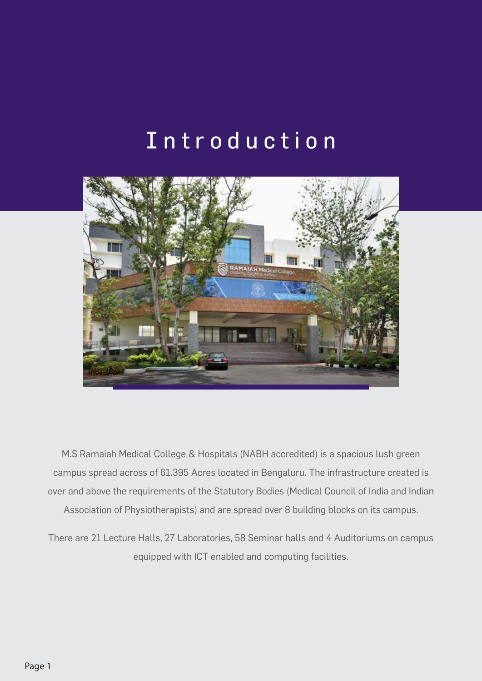### Introduction



M.S Ramaiah Medical College & Hospitals (NABH accredited) is a spacious lush green campus spread across of 61.395 Acres located in Bengaluru. The infrastructure created is over and above the requirements of the Statutory Bodies (Medical Council of India and Indian Association of Physiotherapists) and are spread over 8 building blocks on its campus.

There are 21 Lecture Halls, 27 Laboratories, 58 Seminar halls and 4 Auditoriums on campus equipped with ICT enabled and computing facilities.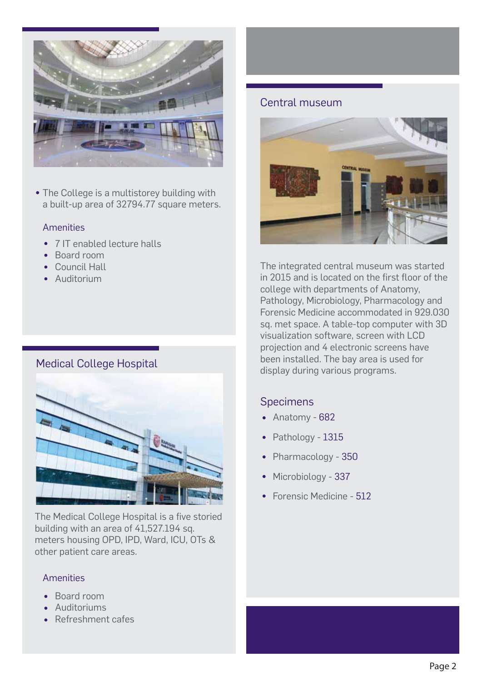

The College is a multistorey building with a built-up area of 32794.77 square meters.

#### **Amenities**

- 7 IT enabled lecture halls
- Board room
- Council Hall
- Auditorium

#### Medical College Hospital



The Medical College Hospital is a five storied building with an area of 41,527.194 sq. meters housing OPD, IPD, Ward, ICU, OTs & other patient care areas.

#### Amenities

- Board room
- **Auditoriums**
- Refreshment cafes





The integrated central museum was started in 2015 and is located on the first floor of the college with departments of Anatomy, Pathology, Microbiology, Pharmacology and Forensic Medicine accommodated in 929.030 sq. met space. A table-top computer with 3D visualization software, screen with LCD projection and 4 electronic screens have been installed. The bay area is used for display during various programs.

#### Specimens

- Anatomy 682
- Pathology 1315
- Pharmacology 350
- Microbiology 337
- Forensic Medicine 512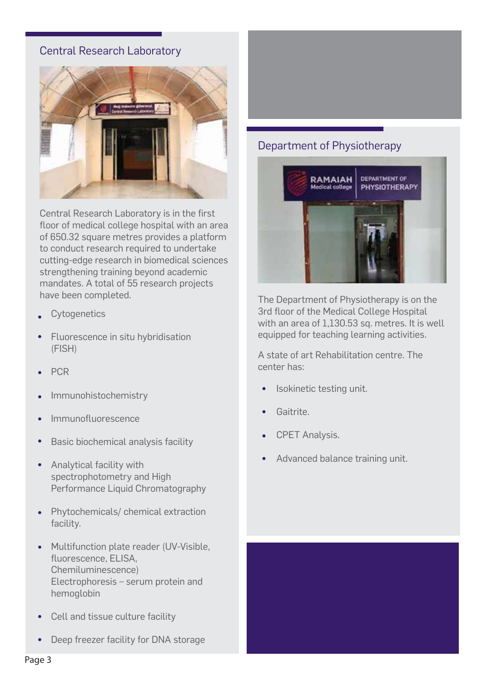#### Central Research Laboratory



Central Research Laboratory is in the first floor of medical college hospital with an area of 650.32 square metres provides a platform to conduct research required to undertake cutting-edge research in biomedical sciences strengthening training beyond academic mandates. A total of 55 research projects have been completed.

- **Cytogenetics**
- Fluorescence in situ hybridisation (FISH)
- PCR
- Immunohistochemistry
- Immunofluorescence
- Basic biochemical analysis facility
- Analytical facility with spectrophotometry and High Performance Liquid Chromatography
- Phytochemicals/ chemical extraction facility.
- Multifunction plate reader (UV-Visible, fluorescence, ELISA, Chemiluminescence) Electrophoresis – serum protein and hemoglobin
- Cell and tissue culture facility
- Deep freezer facility for DNA storage

#### Department of Physiotherapy



The Department of Physiotherapy is on the 3rd floor of the Medical College Hospital with an area of 1.130.53 sq. metres. It is well equipped for teaching learning activities.

A state of art Rehabilitation centre. The center has:

- Isokinetic testing unit.
- Gaitrite.
- CPET Analysis.
- Advanced balance training unit.

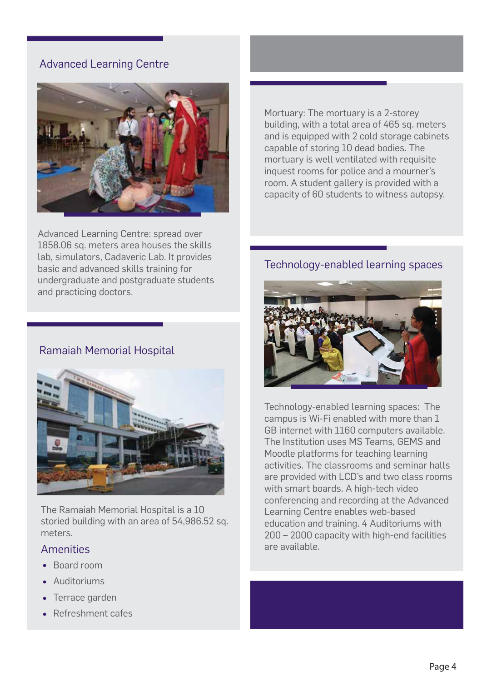#### Advanced Learning Centre



Advanced Learning Centre: spread over 1858.06 sq. meters area houses the skills lab, simulators, Cadaveric Lab. It provides basic and advanced skills training for undergraduate and postgraduate students and practicing doctors.

Mortuary: The mortuary is a 2-storey building, with a total area of 465 sq. meters and is equipped with 2 cold storage cabinets capable of storing 10 dead bodies. The mortuary is well ventilated with requisite inquest rooms for police and a mourner's room. A student gallery is provided with a capacity of 60 students to witness autopsy.

#### Technology-enabled learning spaces



Technology-enabled learning spaces: The campus is Wi-Fi enabled with more than 1 GB internet with 1160 computers available. The Institution uses MS Teams, GEMS and Moodle platforms for teaching learning activities. The classrooms and seminar halls are provided with LCD's and two class rooms with smart boards. A high-tech video conferencing and recording at the Advanced Learning Centre enables web-based education and training. 4 Auditoriums with 200 – 2000 capacity with high-end facilities are available.

#### Ramaiah Memorial Hospital



The Ramaiah Memorial Hospital is a 10 storied building with an area of 54,986.52 sq. meters.

#### Amenities

- Board room
- Auditoriums
- Terrace garden
- Refreshment cafes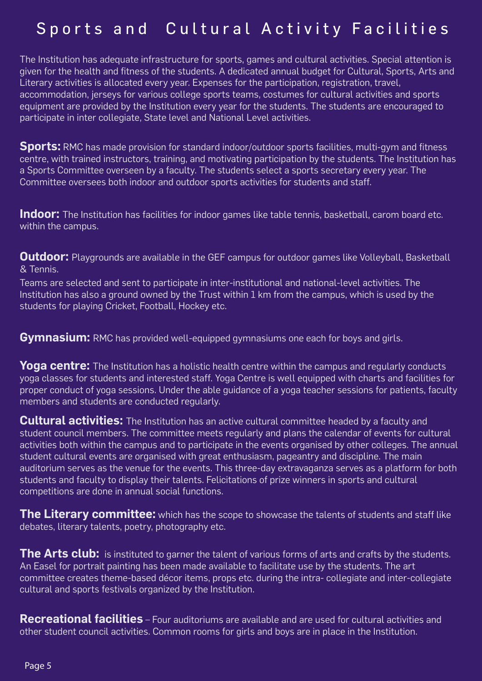### Sports and Cultural Activity Facilities

The Institution has adequate infrastructure for sports, games and cultural activities. Special attention is given for the health and fitness of the students. A dedicated annual budget for Cultural, Sports, Arts and Literary activities is allocated every year. Expenses for the participation, registration, travel, accommodation, jerseys for various college sports teams, costumes for cultural activities and sports equipment are provided by the Institution every year for the students. The students are encouraged to participate in inter collegiate, State level and National Level activities.

**Sports:** RMC has made provision for standard indoor/outdoor sports facilities, multi-gym and fitness centre, with trained instructors, training, and motivating participation by the students. The Institution has a Sports Committee overseen by a faculty. The students select a sports secretary every year. The Committee oversees both indoor and outdoor sports activities for students and staff.

**Indoor:** The Institution has facilities for indoor games like table tennis, basketball, carom board etc. within the campus.

**Outdoor:** Playgrounds are available in the GEF campus for outdoor games like Volleyball, Basketball & Tennis.

Teams are selected and sent to participate in inter-institutional and national-level activities. The Institution has also a ground owned by the Trust within 1 km from the campus, which is used by the students for playing Cricket, Football, Hockey etc.

**Gymnasium:** RMC has provided well-equipped gymnasiums one each for boys and girls.

**Yoga centre:** The Institution has a holistic health centre within the campus and regularly conducts yoga classes for students and interested staff. Yoga Centre is well equipped with charts and facilities for proper conduct of yoga sessions. Under the able guidance of a yoga teacher sessions for patients, faculty members and students are conducted regularly.

**Cultural activities:** The Institution has an active cultural committee headed by a faculty and student council members. The committee meets regularly and plans the calendar of events for cultural activities both within the campus and to participate in the events organised by other colleges. The annual student cultural events are organised with great enthusiasm, pageantry and discipline. The main auditorium serves as the venue for the events. This three-day extravaganza serves as a platform for both students and faculty to display their talents. Felicitations of prize winners in sports and cultural competitions are done in annual social functions.

**The Literary committee:** which has the scope to showcase the talents of students and staff like debates, literary talents, poetry, photography etc.

**The Arts club:** is instituted to garner the talent of various forms of arts and crafts by the students. An Easel for portrait painting has been made available to facilitate use by the students. The art committee creates theme-based décor items, props etc. during the intra- collegiate and inter-collegiate cultural and sports festivals organized by the Institution.

**Recreational facilities** – Four auditoriums are available and are used for cultural activities and other student council activities. Common rooms for girls and boys are in place in the Institution.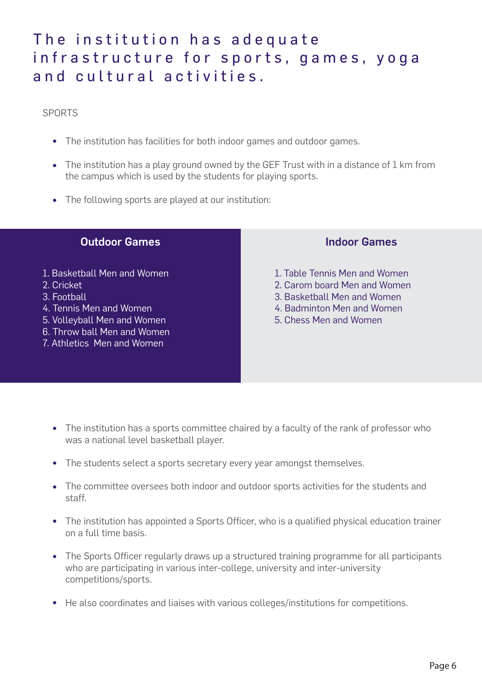### The institution has adequate infrastructure for sports, games, yoga and cultural activities.

#### **SPORTS**

- The institution has facilities for both indoor games and outdoor games.
- The institution has a play ground owned by the GEF Trust with in a distance of 1 km from the campus which is used by the students for playing sports.
- The following sports are played at our institution:

#### **Outdoor Games Indoor Games**

- 1. Basketball Men and Women
- 2. Cricket
- 3. Football
- 4. Tennis Men and Women
- 5. Volleyball Men and Women
- 6. Throw ball Men and Women
- 7. Athletics Men and Women

- 1. Table Tennis Men and Women
- 2. Carom board Men and Women
- 3. Basketball Men and Women
- 4. Badminton Men and Women
- 5. Chess Men and Women

- The institution has a sports committee chaired by a faculty of the rank of professor who was a national level basketball player.
- The students select a sports secretary every year amongst themselves.
- The committee oversees both indoor and outdoor sports activities for the students and staff.
- The institution has appointed a Sports Officer, who is a qualified physical education trainer on a full time basis.
- The Sports Officer regularly draws up a structured training programme for all participants who are participating in various inter-college, university and inter-university competitions/sports.
- He also coordinates and liaises with various colleges/institutions for competitions.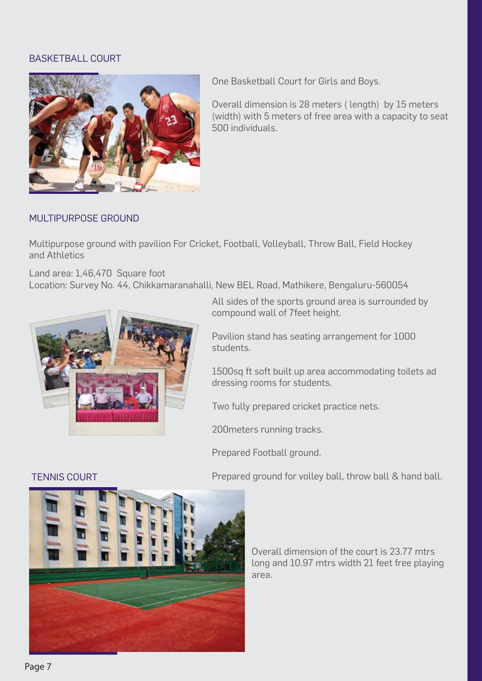#### BASKETBALL COURT



One Basketball Court for Girls and Boys.

Overall dimension is 28 meters ( length) by 15 meters (width) with 5 meters of free area with a capacity to seat 500 individuals.

#### MULTIPURPOSE GROUND

Multipurpose ground with pavilion For Cricket, Football, Volleyball, Throw Ball, Field Hockey and Athletics

Land area: 1,46,470 Square foot

Location: Survey No. 44, Chikkamaranahalli, New BEL Road, Mathikere, Bengaluru-560054



All sides of the sports ground area is surrounded by compound wall of 7feet height.

Pavilion stand has seating arrangement for 1000 students.

1500sq ft soft built up area accommodating toilets ad dressing rooms for students.

Two fully prepared cricket practice nets.

200meters running tracks.

Prepared Football ground.

#### TENNIS COURT



Overall dimension of the court is 23.77 mtrs long and 10.97 mtrs width 21 feet free playing area.

Page 7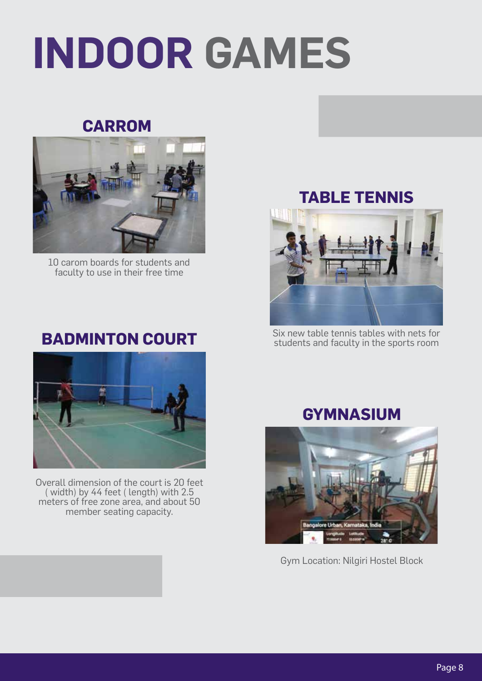# **INDOOR GAMES**

### **CARROM**



10 carom boards for students and faculty to use in their free time



Overall dimension of the court is 20 feet ( width) by 44 feet ( length) with 2.5 meters of free zone area, and about 50 member seating capacity.

### **TABLE TENNIS**



**BADMINTON COURT** Six new table tennis tables with nets for<br> **BADMINTON COURT** Six new table tennis tables with nets for

### **GYMNASIUM**



Gym Location: Nilgiri Hostel Block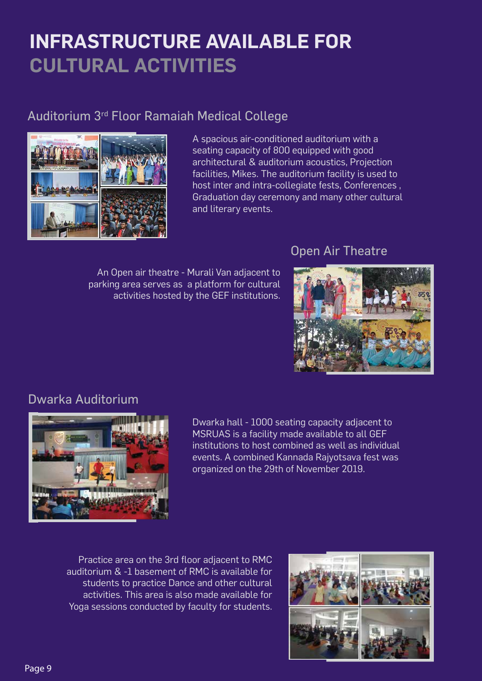### **INFRASTRUCTURE AVAILABLE FOR CULTURAL ACTIVITIES**

### Auditorium 3rd Floor Ramaiah Medical College



A spacious air-conditioned auditorium with a seating capacity of 800 equipped with good architectural & auditorium acoustics, Projection facilities, Mikes. The auditorium facility is used to host inter and intra-collegiate fests, Conferences , Graduation day ceremony and many other cultural and literary events.

### Open Air Theatre

An Open air theatre - Murali Van adjacent to parking area serves as a platform for cultural activities hosted by the GEF institutions.



#### Dwarka Auditorium



Dwarka hall - 1000 seating capacity adjacent to MSRUAS is a facility made available to all GEF institutions to host combined as well as individual events. A combined Kannada Rajyotsava fest was organized on the 29th of November 2019.

Practice area on the 3rd floor adjacent to RMC auditorium & -1 basement of RMC is available for students to practice Dance and other cultural activities. This area is also made available for Yoga sessions conducted by faculty for students.

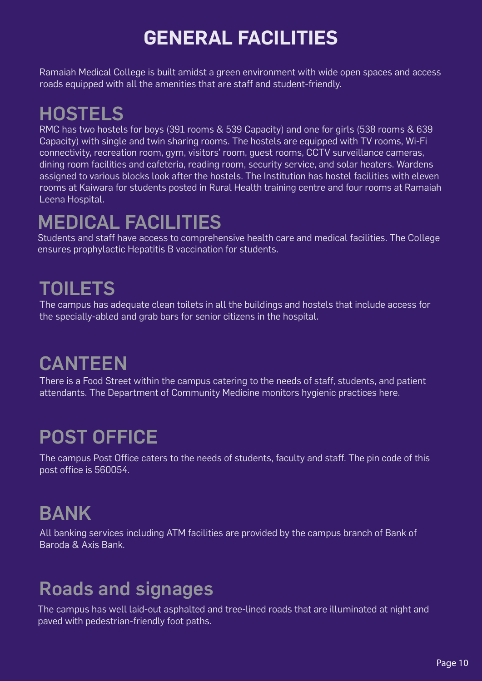### **GENERAL FACILITIES**

Ramaiah Medical College is built amidst a green environment with wide open spaces and access roads equipped with all the amenities that are staff and student-friendly.

### **HOSTELS**

RMC has two hostels for boys (391 rooms & 539 Capacity) and one for girls (538 rooms & 639 Capacity) with single and twin sharing rooms. The hostels are equipped with TV rooms, Wi-Fi connectivity, recreation room, gym, visitors' room, guest rooms, CCTV surveillance cameras, dining room facilities and cafeteria, reading room, security service, and solar heaters. Wardens assigned to various blocks look after the hostels. The Institution has hostel facilities with eleven rooms at Kaiwara for students posted in Rural Health training centre and four rooms at Ramaiah Leena Hospital.

### MEDICAL FACILITIES

Students and staff have access to comprehensive health care and medical facilities. The College ensures prophylactic Hepatitis B vaccination for students.

### TOILETS

The campus has adequate clean toilets in all the buildings and hostels that include access for the specially-abled and grab bars for senior citizens in the hospital.

### **CANTEEN**

There is a Food Street within the campus catering to the needs of staff, students, and patient attendants. The Department of Community Medicine monitors hygienic practices here.

### POST OFFICE

The campus Post Office caters to the needs of students, faculty and staff. The pin code of this post office is 560054.

### BANK

All banking services including ATM facilities are provided by the campus branch of Bank of Baroda & Axis Bank.

### Roads and signages

The campus has well laid-out asphalted and tree-lined roads that are illuminated at night and paved with pedestrian-friendly foot paths.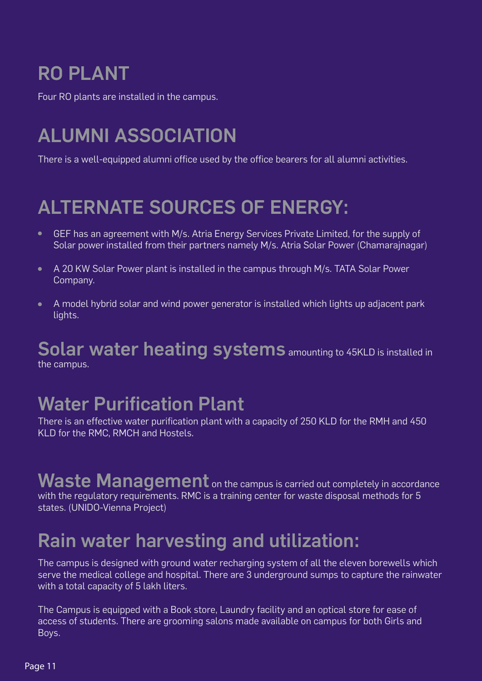### RO PLANT

Four RO plants are installed in the campus.

## ALUMNI ASSOCIATION

There is a well-equipped alumni office used by the office bearers for all alumni activities.

### ALTERNATE SOURCES OF ENERGY:

- GEF has an agreement with M/s. Atria Energy Services Private Limited, for the supply of Solar power installed from their partners namely M/s. Atria Solar Power (Chamarajnagar)
- A 20 KW Solar Power plant is installed in the campus through M/s. TATA Solar Power  $\bullet$ Company.
- $\bullet$ A model hybrid solar and wind power generator is installed which lights up adjacent park lights.

#### Solar water heating systems amounting to 45KLD is installed in the campus.

### Water Purification Plant

There is an effective water purification plant with a capacity of 250 KLD for the RMH and 450 KLD for the RMC, RMCH and Hostels.

#### Waste Management on the campus is carried out completely in accordance with the regulatory requirements. RMC is a training center for waste disposal methods for 5 states. (UNIDO-Vienna Project)

### Rain water harvesting and utilization:

The campus is designed with ground water recharging system of all the eleven borewells which serve the medical college and hospital. There are 3 underground sumps to capture the rainwater with a total capacity of 5 lakh liters.

The Campus is equipped with a Book store, Laundry facility and an optical store for ease of access of students. There are grooming salons made available on campus for both Girls and Boys.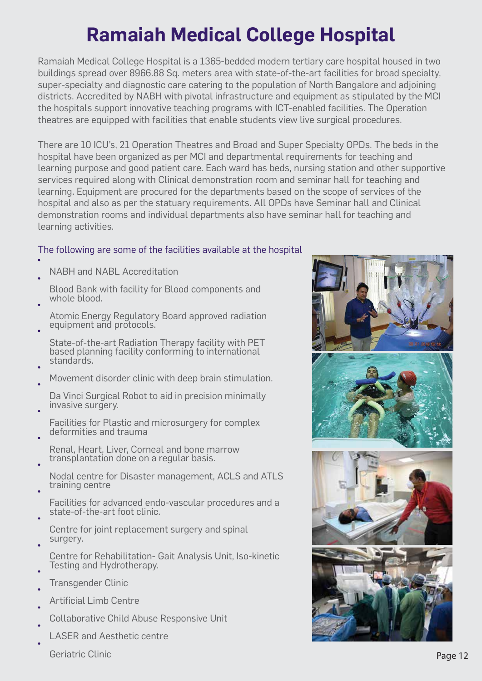### **Ramaiah Medical College Hospital**

Ramaiah Medical College Hospital is a 1365-bedded modern tertiary care hospital housed in two buildings spread over 8966.88 Sq. meters area with state-of-the-art facilities for broad specialty, super-specialty and diagnostic care catering to the population of North Bangalore and adjoining districts. Accredited by NABH with pivotal infrastructure and equipment as stipulated by the MCI the hospitals support innovative teaching programs with ICT-enabled facilities. The Operation theatres are equipped with facilities that enable students view live surgical procedures.

There are 10 ICU's, 21 Operation Theatres and Broad and Super Specialty OPDs. The beds in the hospital have been organized as per MCI and departmental requirements for teaching and learning purpose and good patient care. Each ward has beds, nursing station and other supportive services required along with Clinical demonstration room and seminar hall for teaching and learning. Equipment are procured for the departments based on the scope of services of the hospital and also as per the statuary requirements. All OPDs have Seminar hall and Clinical demonstration rooms and individual departments also have seminar hall for teaching and learning activities.

#### The following are some of the facilities available at the hospital

NABH and NABL Accreditation

Blood Bank with facility for Blood components and whole blood.

Atomic Energy Regulatory Board approved radiation equipment and protocols.

State-of-the-art Radiation Therapy facility with PET based planning facility conforming to international standards.

- Movement disorder clinic with deep brain stimulation.
- Da Vinci Surgical Robot to aid in precision minimally invasive surgery.
- Facilities for Plastic and microsurgery for complex deformities and trauma
- Renal, Heart, Liver, Corneal and bone marrow transplantation done on a regular basis.
- Nodal centre for Disaster management, ACLS and ATLS training centre
- Facilities for advanced endo-vascular procedures and a state-of-the-art foot clinic.
- Centre for joint replacement surgery and spinal surgery.
- Centre for Rehabilitation- Gait Analysis Unit, Iso-kinetic Testing and Hydrotherapy.
- Transgender Clinic
- Artificial Limb Centre
- Collaborative Child Abuse Responsive Unit
- LASER and Aesthetic centre



Geriatric Clinic **Page 12**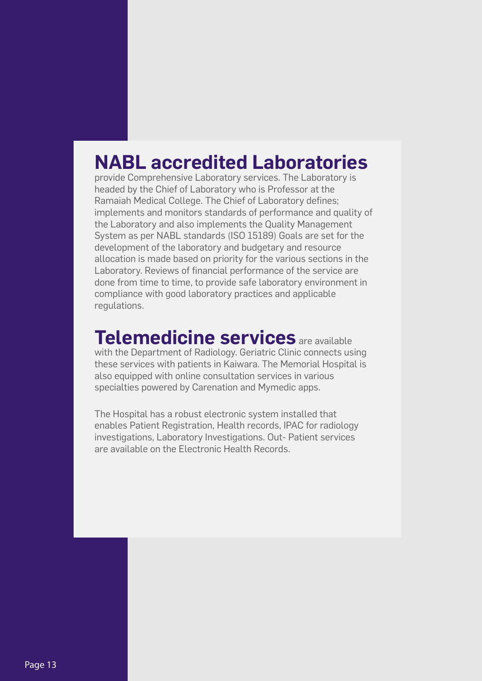### **NABL accredited Laboratories**

provide Comprehensive Laboratory services. The Laboratory is headed by the Chief of Laboratory who is Professor at the Ramaiah Medical College. The Chief of Laboratory defines; implements and monitors standards of performance and quality of the Laboratory and also implements the Quality Management System as per NABL standards (ISO 15189) Goals are set for the development of the laboratory and budgetary and resource allocation is made based on priority for the various sections in the Laboratory. Reviews of financial performance of the service are done from time to time, to provide safe laboratory environment in compliance with good laboratory practices and applicable regulations.

### **Telemedicine services**are available

with the Department of Radiology. Geriatric Clinic connects using these services with patients in Kaiwara. The Memorial Hospital is also equipped with online consultation services in various specialties powered by Carenation and Mymedic apps.

The Hospital has a robust electronic system installed that enables Patient Registration, Health records, IPAC for radiology investigations, Laboratory Investigations. Out- Patient services are available on the Electronic Health Records.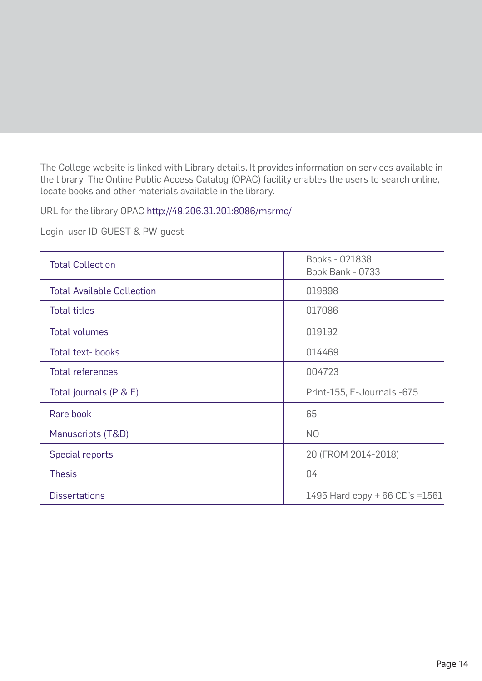The College website is linked with Library details. It provides information on services available in the library. The Online Public Access Catalog (OPAC) facility enables the users to search online, locate books and other materials available in the library.

URL for the library OPAC http://49.206.31.201:8086/msrmc/

Login user ID-GUEST & PW-guest

| <b>Total Collection</b>           | Books - 021838<br>Book Bank - 0733 |
|-----------------------------------|------------------------------------|
| <b>Total Available Collection</b> | 019898                             |
| <b>Total titles</b>               | 017086                             |
| <b>Total volumes</b>              | 019192                             |
| <b>Total text-books</b>           | 014469                             |
| <b>Total references</b>           | 004723                             |
| Total journals (P & E)            | Print-155, E-Journals -675         |
| Rare book                         | 65                                 |
| Manuscripts (T&D)                 | N <sub>O</sub>                     |
| Special reports                   | 20 (FROM 2014-2018)                |
| <b>Thesis</b>                     | 04                                 |
| <b>Dissertations</b>              | 1495 Hard copy + 66 CD's = 1561    |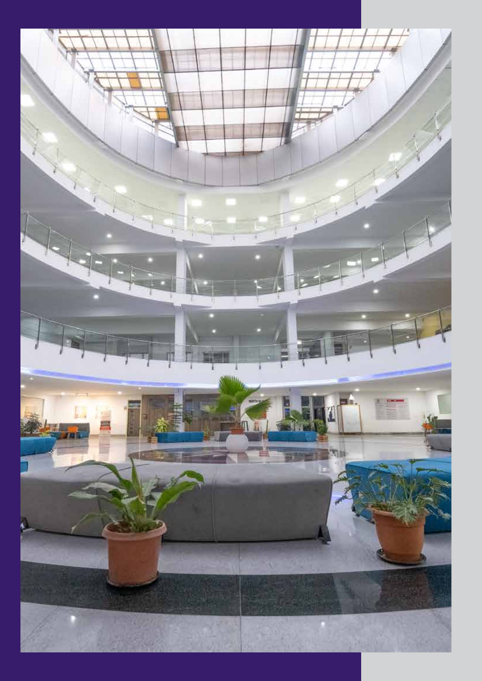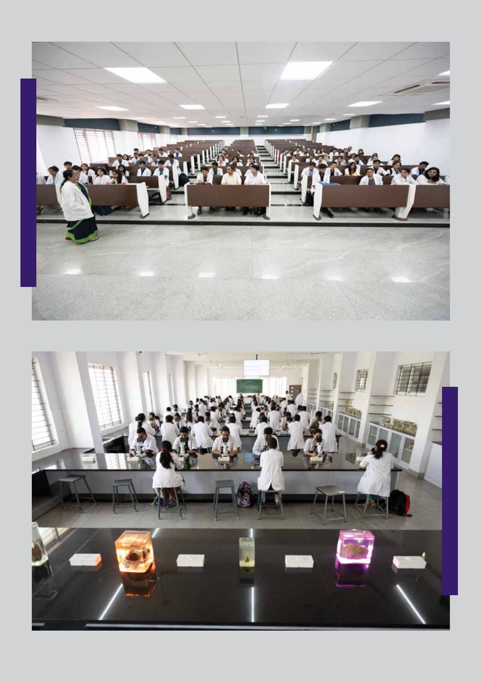